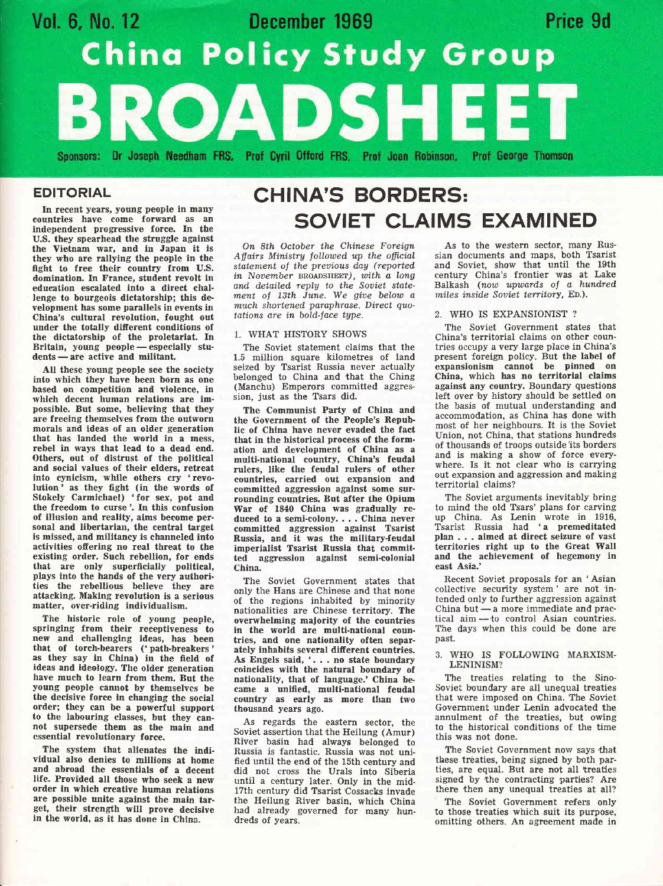

## EDITORIAL

In reeent years, young people in many countrles have come forward as an independent progressive force. In the U.S. they spearhead the struggle against the Vietnam war, and in Japan it is they who are rallying the people in the fight to free their country from U.S. domination, In France, student revolt in edueation escalated into a direct challenge to bourgeois dictatorship; this development has some parallels in events in China's cultural revolution, fought out under the totally different conditions of the dictatorship of the proletariat. In Britain, young people - especially students — are active and militant.

nts — are active and militant.<br>All these young people see the society into which they have been born as one based on competition and violence, in which decent human relations are impossible. But some, believing that they are freeing themselves from the outworn morals and ideas of an older generation that has landed the world in a mess, rebel in ways that lead to a dead end. Others, out of distrust of the political and social values of their elders, retreat into cynicism, while others cry 'revo-Iution' as they fight (in the words of Stokely Carmichael) 'for sex, pot and the freedom to curse'. In this confusion of illusion and reality, aims beeome personal and libertarian, the central target is mlssed, and militancy is channeled into activities offering no real threat to the existing order. Such rebellion, for ends that are only superficially political, plays into the hands of the very authorities the rebellious believe they are attacking. Making revolution is a serious matter, over-riding individualism.

The historic role of young people, springing from their reeeptiveness to new and challenging ideas, has been that of torch-bearers ('path-breakers' as they say in China) in the fteld of ideas and ideology. The older generation have much to learn from them. Eut the young people cannot by themselves be the decisive force in changing the social order; they can be a powerful support to the labouring classes, but they can-<br>not supersede them as the main and essential revolutionary force.

The system that alienates the individual also denies to millions at home and abroad the essentials of a decent life. Provided all those who seek a new order in which creative human relations are possible unite against the main target, thelr strength wlll prove decislve in the world, as it has done in China.

## CHINA'S BORDERS: SOVIET CLAIMS EXAMINED

On 8th October the Chinese Foreign Affairs Ministry followed up the official statement of the previous day (reported in November  $BROADSHEET$ ), with a long and detailed reply to the Soviet statement of 13th June. We give below a much shortened paraphrase. Direct quotations are in bold-face type.

#### 1. WHAT HISTORY SHOWS

The Soviet statement claims that the 1.5 million square kilometres of land seized by Tsarist Russia never actually belonged to China and that the Ching (Manchu) Emperors committed aggression, just as the Tsars did.

The Communist Party of China and the Government of the People's Republic of China have never evaded the fact that in the historical process of the formation and development of China as a multi-national country, China's feudal rulers, like the feudal rulers of other countries, carried out expansion and committed aggression against some surrounding countries. But after the Opium War of 1840 China was gradually reduced to a semi-colony. . . . China never committed aggression against Tsarist Russia, and it was the military-feudal imperialist Tsarist Russia that committed aggression against semi-colonial China.

The Soviet Government states that only the Hans are Chinese and that none of the regions inhabited by minority nationalities are Chinese territory. The overwhelming maJority of the countries in the world are multi-national countries, and one nationality often separately inhabits several different countries. As Engels said, '. . . no state boundary coincides with the natural boundary of nationality, that of language.' China be, canre a unified, multi-national feudal country as early as more than two thousand years ago.

As regards the eastern sector, the Soviet assertion that the Heilung (Amur) River basin had always belonged to Russia is fantastic. Russia was not unified until the end of the 15th century and did not cross the Urals into Siberia untii a century later. Only in the mid-17th century did Tsarist Cossacks invade the Heilung River basin, which China had already governed for many hundreds of years.

As to the western sector, many Russian documents and maps, both Tsarist and Soviet, show that until the 19th century China's frontier was at Lake Balkash (now upwards of a hundred, miles inside Soviet territory, ED.).

#### 2. WHO IS EXPANSIOMST ?

The Soviet Government states that China's territorial claims on other countries occupy a very large place in China's present foreign policy. But the label of expansionism cannot be pinned on China, which has no territorial claims against any country. Boundary questions left over by history should be settled on the basis of mutual understanding and accommodation, as China has done with most of her neighbours. It is the Soviet Union, not China, that stations hundreds of thousands of troops outside'its borders and is making a show of force everywhere. Is it not clear who is carrying out expansion and aggression and making territorial claims?

The Soviet arguments inevitably bring to mind the old Tsars' plans for carving up China. As Lenin wrote in 1916, Tsarist Russia had 'a premeditated plan . . . aimed at direct seizure of vast territories right up to the Great Wall and the achievement of hegemony in east Asia.'

Recent Soviet proposals for an 'Asian collective security system' are not intended only to further aggression against China but  $-a$  more immediate and practical  $aim - to$  control Asian countries. The days when this could be done are past.

#### 3. WHO IS FOLLOWING MARXISM-LENINISM?

The treaties relating to the Sino-Soviet boundary are all unequal treaties that were imposed on China. The Soviet Government under Lenin advocated the annulment of the treaties, but owing to the historical conditions of the time this was not done.

The Soviet Government now says that these treaties, being signed by both parties, are equal. But are not all treaties signed by the contracting parties? Are there then any unequal treaties at all?

The Soviet Government refets only to those treaties which suit its purpose, omitting others. An agreement made in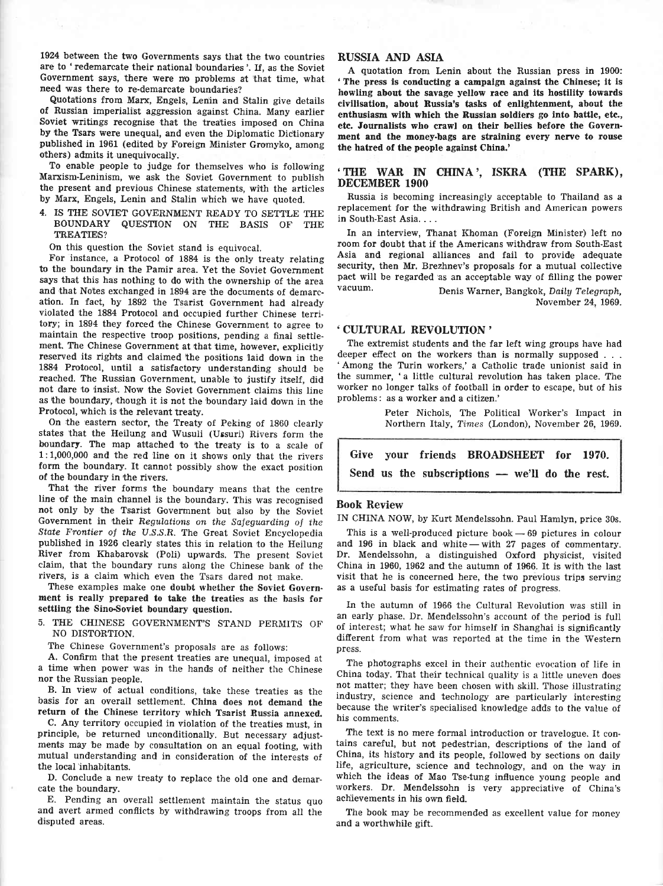1924 between the two Governments says that the two countries are to 'redemarcate their national boundaries'. lf, as the Soviet Government says, there were no problems at that time, what need was there to re-demarcate boundaries?

Quotations from Marx, Engels, Lenin and Stalin give details of Russian imperialist aggression against China. Many earlier Soviet writings recognise that the treaties imposed on China by the Tsars were unequal, and even the Diplomatic Dictionary published in 1961 (edited by Foreign Minister Gromyko, among others) admits it unequivocally.

To enable people to judge for themselves who is following Marxism-Leninism, we ask the Soviet Government to publish the present and previous Chinese statements, with the articles by Marx, Engels, Lenin and Stalin which we have quoted.

4. IS TIIE SOVIET GOVERNMENT READY TO SETTLE THE BOUNDARY QUESTION ON TIIE BASIS OF TIIE **TREATIES?** 

On this question the Soviet stand is equivocal.

For instance, a Protocol of 1884 is the only treaty relating to the boundary in the Pamir area. Yet the Soviet Government says that this has nothing to do with the ownership of the area and that Notes exchanged in 1894 are the documents of demarcation. In fact, by 1892 the Tsarist Government had already violated the 1884 Protocol and occupied further Chinese terri tory; in 1894 they forced the Chinese Government to agree to maintain the respective troop positions, pending a final setilement. The Chinese Government at that time, however, explicitly reserved its rights and claimed the positions laid down in the 1884 Protocol, until a satisfactory understanding should be reached. The Russian Government, unable to justify itself, did not dare to insist. Now the Soviet Government claims this line as the boundary, though it is not the boundary laid down in the Protocol, which is the relevant treaty.

On the eastern sector, the Treaty of Peking of 1860 clearly states that the Heilung and Wusuli (Ussuri) Rivers form the boundary. The map attached to the treaty is to a scale of 1:1,000,000 and the red line on it shows only that the rivers form the boundary. It cannot possibly show the exact position of the boundary in the rivers.

That the river forms the boundary means that the centre line of the main channel is the boundary. This was recognised not only by the Tsarist Government but also by the Soviet Government in their Regulations on the Safeguarding of the State Frontier of the U.S.S.R. The Great Soviet Encyclopedia published in 1926 clearly states this in relation to the Heilung River from Khabarovsk (Poli) upwards, The present Soviet claim, that the boundary runs along the Chinese bank of the rivers, is a claim which even the Tsars dared not make.

These examples make one doubt whether the Soviet Government is really prepared to take the treaties as the basis for settling the Sino-Soviet boundary question.

5. THE CHINESE GOVERNMENT'S STAND PERMITS OF NO DISTORTION.

The Chinese Government's proposals are as follows:

A. Confirm that the present treaties are unequal, imposed at a time when power was in the hands of neither the Chinese nor the Russian people.

B. In view of actual conditions, take these treaties as the basis for an overall settlement. China does not demand the return of the Chinese territory which Tsarist Russia annexed.

C. Any territory occupied in violation of the treaties must, in principle, be returned unconditionally. But necessary adjustments may be made by consultation on an equal footing, with mutual understanding and in consideration of the interests of the local'inhabitants.

D. Conclude a new treaty to replace the old one and demarcate the boundary.

E. Pending an overall settlement maintain the status quo and avert armed conflicts by withdrawing troops from all the disputed areas.

### RUSSIA AND ASIA

A quotation from Lenin about the Russian press in 1900: 'The press is conducting a campalgn agalnst the Chinese; it is howling about the savage yellow race and its hostility towards civilisation, about Russia's tasks of enlightenment, about the enthusiasm with which the Bussian soldiers go into battle, ete., ete. Journalists who crawl on their bellies before the Government and the money-bags are straining every nerve to rouse the hatred of the people against China.'

## THE WAR IN CHINA', ISKRA (THE SPARK), DECEMBER 1900

" Russia is becoming increasingly acceptable to Thailand as <sup>a</sup> replacement for the withdrawing British and American powers in South-East Asia. . . .

In an interview, Thanat Khoman (Foreign Minister) left no room for doubt that if the Americans withdraw from South-East Asia and regional alliances and fail to provide adequate security, then Mr. Brezhnev's proposals for a mutual collective pact will be regarded 'as an acceptable way of filling the power vacuum. Denis'Warner, Bangkok, Daily Telegraph,

November 24, 1969.

#### . CULTURAL REVOLUIfION'

The extremist students and the far left wing groups have had deeper effect on the workers than is normally supposed . . . Among the Turin workers,' a Catholic trade unionist said in the summer, 'a little cultural revolution has taken place. The worker no longer talks of football in order to escape, but of his problems: as a worker and a citizen.'

> Peter Nichols, The Political Worker's Lnpact in Northern Italy, Times (London), November 26, 1969.

Give your friends BROADSHEET for 1970. Send us the subscriptions — we'll do the rest.

### Book Review

IN CHINA NOW, by Kurt Mendelssohn. Paul Hamlyn, price 30s.

This is a well-produced picture book $-69$  pictures in colour and 196 in black and white - with 27 pages of commentary. Dr. Mendelssohn, a distinguished Oxford physicist, visited China in 1960, 1962 and the autumn of 1966. It is with the last visit that he is concerned here, the two previous trips serving as a useful basis for estimating rates of progress.

In the autumn of 1966 the Cultural Revolution was still in an early phase. Dr. Mendelssohn's account of the period is full of interest; what he saw for himself in Shanghai is significantly different from what was reported at the time in the Western press.

The photographs excel in their authentic evocation of life in China today. That their technical quality is a little uneven does not matter; they have been chosen with skill. Those illustrating industry, science and technology are particularly interesting because the writer's specialised knowledge adds to the value of his comments.

The text is no mere formal introduction or travelogue. It contains careful, but not pedestrian, descriptions of the land of China, its history and its people, followed by sections on daily life, agriculture, science and technology, and on the way in which the ideas of Mao Tse-tung influence young people and workers. Dr. Mendelssohn is very appreciative of China's achievements in his own field.

The book may be recommended as excellent value for money and a worthwhile gift.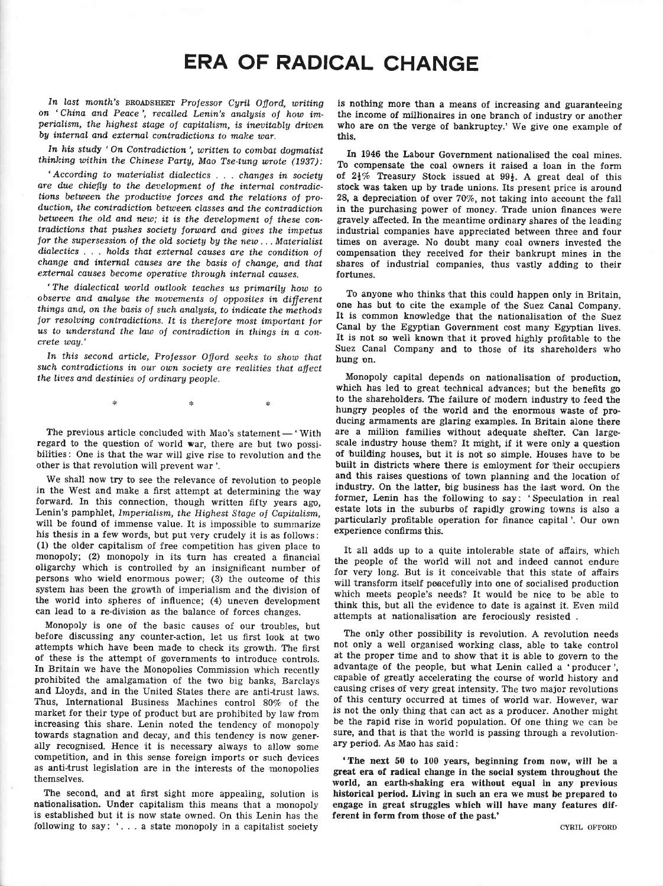# **ERA OF RADICAL CHANGE**

In last month's BROADSHEET Professor Cyril Offord, writing on 'China and Peace', recalled Lenin's analysis of how imperialism, the highest stage of capitalism, is inevitably driven by internal and external contradictions to make war.

In his study 'On Contradiction', written to combat dogmatist thinking within the Chinese Party, Mao Tse-tung wrote (1937):

'According to materialist dialectics . . . changes in society are due chiefly to the development of the internal contradictions between the productive forces and the relations of production, the contradiction between classes and the contradiction between the old and new; it is the development of these contradictions that pushes society forward and gives the impetus for the supersession of the old society by the new...Materialist dialectics . . . holds that external causes are the condition of change and internal causes are the basis of change, and that external causes become operative through internal causes.

'The dialectical world outlook teaches us primarily how to observe and analyse the movements of opposites in different things and, on the basis of such analysis, to indicate the methods for resolving contradictions. It is therefore most important for us to understand the law of contradiction in things in a concrete way.'

In this second article, Professor Offord seeks to show that such contradictions in our own society are realities that affect the lives and destinies of ordinary people.

The previous article concluded with Mao's statement - 'With regard to the question of world war, there are but two possibilities: One is that the war will give rise to revolution and the other is that revolution will prevent war'.

We shall now try to see the relevance of revolution to people in the West and make a first attempt at determining the way forward. In this connection, though written fifty years ago, Lenin's pamphlet, Imperialism, the Highest Stage of Capitalism, will be found of immense value. It is impossible to summarize his thesis in a few words, but put very crudely it is as follows: (1) the older capitalism of free competition has given place to monopoly; (2) monopoly in its turn has created a financial oligarchy which is controlled by an insignificant number of persons who wield enormous power; (3) the outcome of this system has been the growth of imperialism and the division of the world into spheres of influence; (4) uneven development can lead to a re-division as the balance of forces changes.

Monopoly is one of the basic causes of our troubles, but before discussing any counter-action, let us first look at two attempts which have been made to check its growth. The first of these is the attempt of governments to introduce controls. In Britain we have the Monopolies Commission which recently prohibited the amalgamation of the two big banks, Barclays and Lloyds, and in the United States there are anti-trust laws. Thus, International Business Machines control 80% of the market for their type of product but are prohibited by law from increasing this share. Lenin noted the tendency of monopoly towards stagnation and decay, and this tendency is now generally recognised. Hence it is necessary always to allow some competition, and in this sense foreign imports or such devices as anti-trust legislation are in the interests of the monopolies themselves.

The second, and at first sight more appealing, solution is nationalisation. Under capitalism this means that a monopoly is established but it is now state owned. On this Lenin has the following to say: '... a state monopoly in a capitalist society

is nothing more than a means of increasing and guaranteeing the income of millionaires in one branch of industry or another who are on the verge of bankruptcy.' We give one example of this.

In 1946 the Labour Government nationalised the coal mines. To compensate the coal owners it raised a loan in the form of  $2\frac{1}{2}\%$  Treasury Stock issued at  $99\frac{1}{2}$ . A great deal of this stock was taken up by trade unions. Its present price is around 28, a depreciation of over 70%, not taking into account the fall in the purchasing power of money. Trade union finances were gravely affected. In the meantime ordinary shares of the leading industrial companies have appreciated between three and four times on average. No doubt many coal owners invested the compensation they received for their bankrupt mines in the shares of industrial companies, thus vastly adding to their fortunes.

To anyone who thinks that this could happen only in Britain, one has but to cite the example of the Suez Canal Company. It is common knowledge that the nationalisation of the Suez Canal by the Egyptian Government cost many Egyptian lives. It is not so well known that it proved highly profitable to the Suez Canal Company and to those of its shareholders who hung on.

Monopoly capital depends on nationalisation of production. which has led to great technical advances; but the benefits go to the shareholders. The failure of modern industry to feed the hungry peoples of the world and the enormous waste of producing armaments are glaring examples. In Britain alone there are a million families without adequate shelter. Can largescale industry house them? It might, if it were only a question of building houses, but it is not so simple. Houses have to be built in districts where there is emloyment for their occupiers and this raises questions of town planning and the location of industry. On the latter, big business has the last word. On the former, Lenin has the following to say: 'Speculation in real estate lots in the suburbs of rapidly growing towns is also a particularly profitable operation for finance capital'. Our own experience confirms this.

It all adds up to a quite intolerable state of affairs, which the people of the world will not and indeed cannot endure for very long. But is it conceivable that this state of affairs will transform itself peacefully into one of socialised production which meets people's needs? It would be nice to be able to think this, but all the evidence to date is against it. Even mild attempts at nationalisation are ferociously resisted.

The only other possibility is revolution. A revolution needs not only a well organised working class, able to take control at the proper time and to show that it is able to govern to the advantage of the people, but what Lenin called a 'producer', capable of greatly accelerating the course of world history and causing crises of very great intensity. The two major revolutions of this century occurred at times of world war. However, war is not the only thing that can act as a producer. Another might be the rapid rise in world population. Of one thing we can be sure, and that is that the world is passing through a revolutionary period. As Mao has said:

'The next 50 to 100 years, beginning from now, will be a great era of radical change in the social system throughout the world, an earth-shaking era without equal in any previous historical period. Living in such an era we must be prepared to engage in great struggles which will have many features different in form from those of the past.'